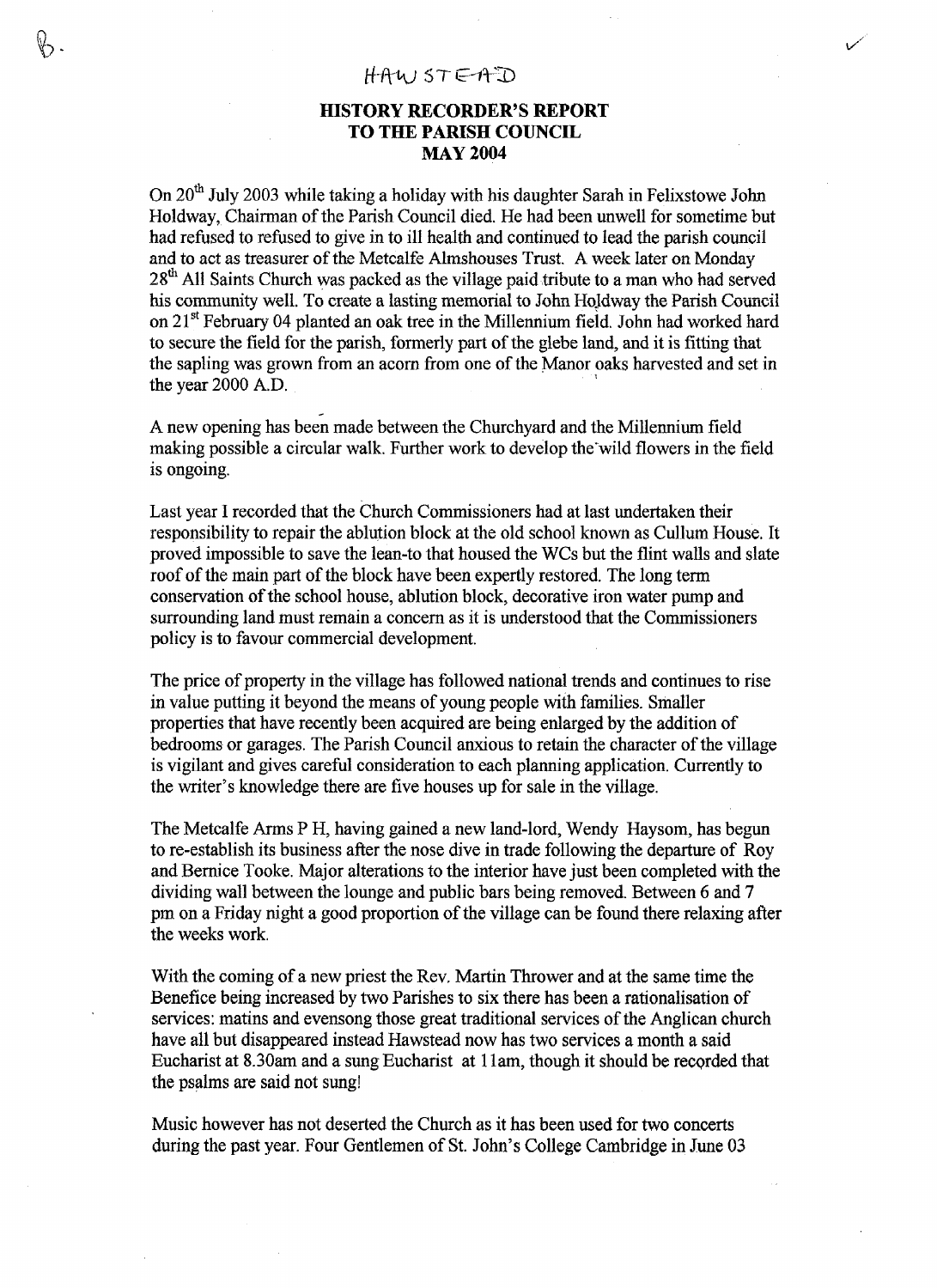## HAWSTEAD

## **HISTORY RECORDER'S REPORT TO THE PARISH COUNCIL MAY 2004**

On 20<sup>th</sup> July 2003 while taking a holiday with his daughter Sarah in Felixstowe John Holdway, Chairman of the Parish Council died. He had been unwell for sometime but had refused to refused to give in to ill health and continued to lead the parish council and to act as treasurer of the Metcalfe Almshouses Trust. A week later on Monday  $28<sup>th</sup>$  All Saints Church was packed as the village paid tribute to a man who had served his community well. To create a lasting memorial to John Hojdway the Parish Council on 21<sup>st</sup> February 04 planted an oak tree in the Millennium field. John had worked hard to secure the field for the parish, formerly part of the glebe land, and it is fitting that the sapling was grown from an acorn from one of the Manor oaks harvested and set in the year 2000 A.D.

A new opening has been made between the Churchyard and the Millennium field making possible a circular walk. Further work to develop the'wild flowers in the field is ongoing.

Last year I recorded that the Church Commissioners had at last undertaken their responsibility to repair the ablution block at the old school known as Cullum House. It proved impossible to save the lean-to that housed the WCs but the flint walls and slate roof of the main part of the block have been expertly restored. The long term conservation of the school house, ablution block, decorative iron water pump and surrounding land must remain a concern as it is understood that the Commissioners policy is to favour commercial development.

The price of property in the village has followed national trends and continues to rise in value putting it beyond the means of young people with families. Smaller properties that have recently been acquired are being enlarged by the addition of bedrooms or garages. The Parish Council anxious to retain the character of the village is vigilant and gives careful consideration to each planning application. Currently to the writer's knowledge there are five houses up for sale in the village.

The Metcalfe Arms P H, having gained a new land-lord, Wendy Haysom, has begun to re-establish its business after the nose dive in trade following the departure of Roy and Bernice Tooke. Major alterations to the interior have just been completed with the dividing wall between the lounge and public bars being removed. Between 6 and 7 pm on a Friday night a good proportion of the village can be found there relaxing after the weeks work.

With the coming of a new priest the Rev, Martin Thrower and at the same time the Benefice being increased by two Parishes to six there has been a rationalisation of services: matins and evensong those great traditional services of the Anglican church have all but disappeared instead Hawstead now has two services a month a said Eucharist at 8.30am and a sung Eucharist at 1 lam, though it should be recorded that the psalms are said not sung!

Music however has not deserted the Church as it has been used for two concerts during the past year. Four Gentlemen of St. John's College Cambridge in June 03